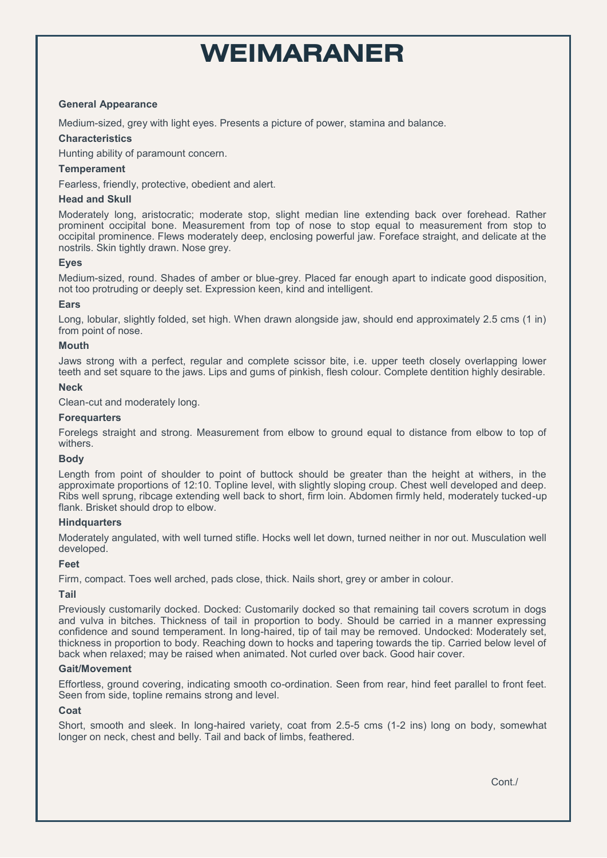# **WEIMARANER**

## **General Appearance**

Medium-sized, grey with light eyes. Presents a picture of power, stamina and balance.

### **Characteristics**

Hunting ability of paramount concern.

## **Temperament**

Fearless, friendly, protective, obedient and alert.

### **Head and Skull**

Moderately long, aristocratic; moderate stop, slight median line extending back over forehead. Rather prominent occipital bone. Measurement from top of nose to stop equal to measurement from stop to occipital prominence. Flews moderately deep, enclosing powerful jaw. Foreface straight, and delicate at the nostrils. Skin tightly drawn. Nose grey.

## **Eyes**

Medium-sized, round. Shades of amber or blue-grey. Placed far enough apart to indicate good disposition, not too protruding or deeply set. Expression keen, kind and intelligent.

## **Ears**

Long, lobular, slightly folded, set high. When drawn alongside jaw, should end approximately 2.5 cms (1 in) from point of nose.

## **Mouth**

Jaws strong with a perfect, regular and complete scissor bite, i.e. upper teeth closely overlapping lower teeth and set square to the jaws. Lips and gums of pinkish, flesh colour. Complete dentition highly desirable.

#### **Neck**

Clean-cut and moderately long.

#### **Forequarters**

Forelegs straight and strong. Measurement from elbow to ground equal to distance from elbow to top of withers.

#### **Body**

Length from point of shoulder to point of buttock should be greater than the height at withers, in the approximate proportions of 12:10. Topline level, with slightly sloping croup. Chest well developed and deep. Ribs well sprung, ribcage extending well back to short, firm loin. Abdomen firmly held, moderately tucked-up flank. Brisket should drop to elbow.

#### **Hindquarters**

Moderately angulated, with well turned stifle. Hocks well let down, turned neither in nor out. Musculation well developed.

#### **Feet**

Firm, compact. Toes well arched, pads close, thick. Nails short, grey or amber in colour.

#### **Tail**

Previously customarily docked. Docked: Customarily docked so that remaining tail covers scrotum in dogs and vulva in bitches. Thickness of tail in proportion to body. Should be carried in a manner expressing confidence and sound temperament. In long-haired, tip of tail may be removed. Undocked: Moderately set, thickness in proportion to body. Reaching down to hocks and tapering towards the tip. Carried below level of back when relaxed; may be raised when animated. Not curled over back. Good hair cover.

#### **Gait/Movement**

Effortless, ground covering, indicating smooth co-ordination. Seen from rear, hind feet parallel to front feet. Seen from side, topline remains strong and level.

#### **Coat**

Short, smooth and sleek. In long-haired variety, coat from 2.5-5 cms (1-2 ins) long on body, somewhat longer on neck, chest and belly. Tail and back of limbs, feathered.